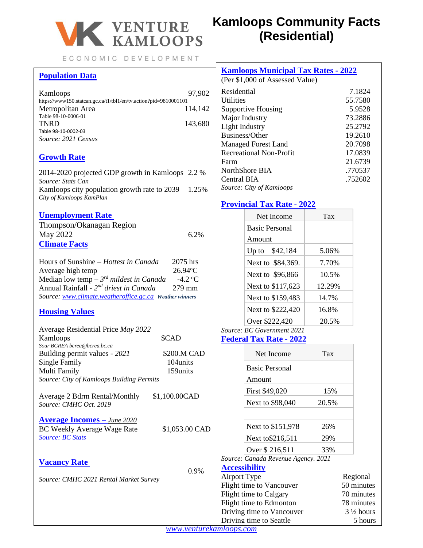

ECONOMIC DEVELOPMENT

# **Population Data**

| Kamloops                                                         | 97.902  |
|------------------------------------------------------------------|---------|
| https://www150.statcan.gc.ca/t1/tbl1/en/tv.action?pid=9810001101 |         |
| Metropolitan Area                                                | 114.142 |
| Table 98-10-0006-01                                              |         |
| <b>TNRD</b>                                                      | 143,680 |
| Table 98-10-0002-03                                              |         |
| Source: 2021 Census                                              |         |

### **Growth Rate**

2014-2020 projected GDP growth in Kamloops 2.2 % *Source: Stats Can*  Kamloops city population growth rate to 2039 1.25% *City of Kamloops KamPlan*

### **Unemployment Rate**

| Thompson/Okanagan Region |         |
|--------------------------|---------|
| May 2022                 | $6.2\%$ |
| <b>Climate Facts</b>     |         |

| Hours of Sunshine - Hottest in Canada                   | 2075 hrs               |
|---------------------------------------------------------|------------------------|
| Average high temp                                       | $26.94$ <sup>°</sup> C |
| Median low temp – $3^{rd}$ mildest in Canada            | $-4.2 °C$              |
| Annual Rainfall - 2 <sup>nd</sup> driest in Canada      | $279$ mm               |
| Source: www.climate.weatheroffice.gc.ca Weather winners |                        |

### **Housing Values**

| Average Residential Price May 2022        |                |
|-------------------------------------------|----------------|
| Kamloops                                  | \$CAD          |
| Sour BCREA bcrea@bcrea.bc.ca              |                |
| Building permit values - 2021             | \$200.M CAD    |
| Single Family                             | 104units       |
| Multi Family                              | 159units       |
| Source: City of Kamloops Building Permits |                |
| Average 2 Bdrm Rental/Monthly             | \$1,100.00CAD  |
| Source: CMHC Oct. 2019                    |                |
| <b>Average Incomes</b> – June 2020        |                |
| <b>BC Weekly Average Wage Rate</b>        | \$1,053.00 CAD |
| Source: BC Stats                          |                |

### **Vacancy Rate**

0.9%

*Source: CMHC 2021 Rental Market Survey*

# **Kamloops Community Facts (Residential)**

| <b>Kamloops Municipal Tax Rates - 2022</b><br>(Per \$1,000 of Assessed Value) |         |  |
|-------------------------------------------------------------------------------|---------|--|
| Residential                                                                   | 7.1824  |  |
| <b>Utilities</b>                                                              | 55.7580 |  |
| Supportive Housing                                                            | 5.9528  |  |
| Major Industry                                                                | 73.2886 |  |
| Light Industry                                                                | 25.2792 |  |
| Business/Other                                                                | 19.2610 |  |
| <b>Managed Forest Land</b>                                                    | 20.7098 |  |
| Recreational Non-Profit                                                       | 17.0839 |  |
| Farm                                                                          | 21.6739 |  |
| NorthShore BIA                                                                | .770537 |  |
| Central BIA                                                                   | .752602 |  |
| Source: City of Kamloops                                                      |         |  |

### **Provincial Tax Rate - 2022**

|                           | Net Income                          | Tax    |                      |
|---------------------------|-------------------------------------|--------|----------------------|
|                           | <b>Basic Personal</b>               |        |                      |
|                           | Amount                              |        |                      |
|                           | Up to \$42,184                      | 5.06%  |                      |
|                           | Next to \$84,369.                   | 7.70%  |                      |
|                           | Next to \$96,866                    | 10.5%  |                      |
|                           | Next to \$117,623                   | 12.29% |                      |
|                           | Next to \$159,483                   | 14.7%  |                      |
|                           | Next to \$222,420                   | 16.8%  |                      |
|                           | Over \$222,420                      | 20.5%  |                      |
|                           | Source: BC Government 2021          |        |                      |
|                           | Federal Tax Rate - 2022             |        |                      |
|                           | Net Income                          | Tax    |                      |
|                           | <b>Basic Personal</b>               |        |                      |
|                           | Amount                              |        |                      |
|                           | First \$49,020                      | 15%    |                      |
|                           | Next to \$98,040                    | 20.5%  |                      |
|                           |                                     |        |                      |
|                           | Next to \$151,978                   | 26%    |                      |
|                           | Next to \$216,511                   | 29%    |                      |
|                           | Over \$216,511                      | 33%    |                      |
|                           | Source: Canada Revenue Agency. 2021 |        |                      |
| <b>Accessibility</b>      |                                     |        |                      |
| Airport Type              |                                     |        | Regional             |
| Flight time to Vancouver  |                                     |        | 50 minutes           |
| Flight time to Calgary    |                                     |        | 70 minutes           |
| Flight time to Edmonton   |                                     |        | 78 minutes           |
| Driving time to Vancouver |                                     |        | $3\frac{1}{2}$ hours |
| Driving time to Seattle   |                                     |        | 5 hours              |